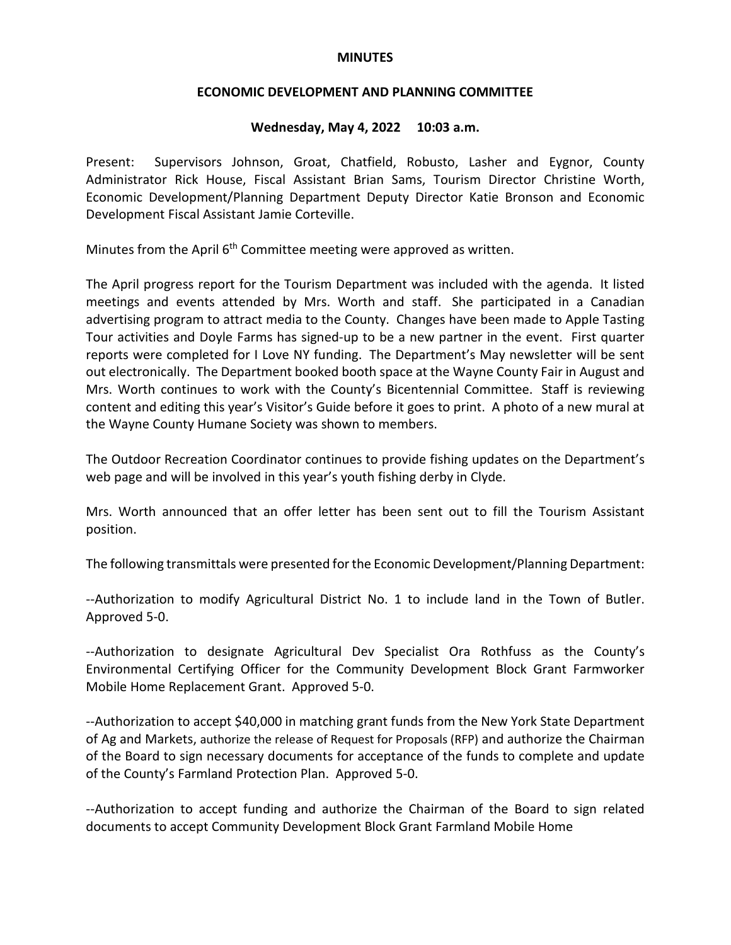## **MINUTES**

## **ECONOMIC DEVELOPMENT AND PLANNING COMMITTEE**

## **Wednesday, May 4, 2022 10:03 a.m.**

Present: Supervisors Johnson, Groat, Chatfield, Robusto, Lasher and Eygnor, County Administrator Rick House, Fiscal Assistant Brian Sams, Tourism Director Christine Worth, Economic Development/Planning Department Deputy Director Katie Bronson and Economic Development Fiscal Assistant Jamie Corteville.

Minutes from the April  $6<sup>th</sup>$  Committee meeting were approved as written.

The April progress report for the Tourism Department was included with the agenda. It listed meetings and events attended by Mrs. Worth and staff. She participated in a Canadian advertising program to attract media to the County. Changes have been made to Apple Tasting Tour activities and Doyle Farms has signed-up to be a new partner in the event. First quarter reports were completed for I Love NY funding. The Department's May newsletter will be sent out electronically. The Department booked booth space at the Wayne County Fair in August and Mrs. Worth continues to work with the County's Bicentennial Committee. Staff is reviewing content and editing this year's Visitor's Guide before it goes to print. A photo of a new mural at the Wayne County Humane Society was shown to members.

The Outdoor Recreation Coordinator continues to provide fishing updates on the Department's web page and will be involved in this year's youth fishing derby in Clyde.

Mrs. Worth announced that an offer letter has been sent out to fill the Tourism Assistant position.

The following transmittals were presented for the Economic Development/Planning Department:

--Authorization to modify Agricultural District No. 1 to include land in the Town of Butler. Approved 5-0.

--Authorization to designate Agricultural Dev Specialist Ora Rothfuss as the County's Environmental Certifying Officer for the Community Development Block Grant Farmworker Mobile Home Replacement Grant. Approved 5-0.

--Authorization to accept \$40,000 in matching grant funds from the New York State Department of Ag and Markets, authorize the release of Request for Proposals (RFP) and authorize the Chairman of the Board to sign necessary documents for acceptance of the funds to complete and update of the County's Farmland Protection Plan. Approved 5-0.

--Authorization to accept funding and authorize the Chairman of the Board to sign related documents to accept Community Development Block Grant Farmland Mobile Home